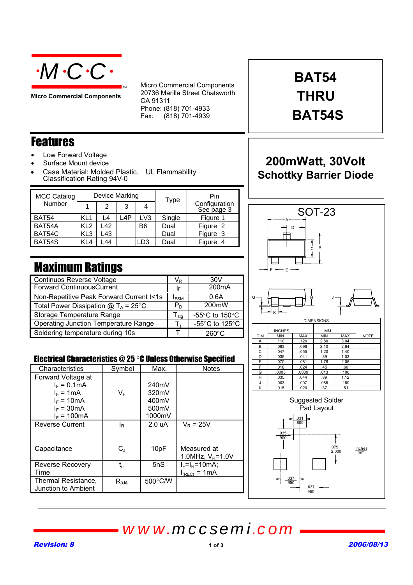

**Micro Commercial Components**

Micro Commercial Components 20736 Marilla Street Chatsworth CA 91311 Phone: (818) 701-4933 Fax:  $(818)$  701-4939

# **BAT54 THRU BAT54S**

#### Features

- Low Forward Voltage
- Surface Mount device
- Case Material: Molded Plastic. UL Flammability Classification Rating 94V-0

TM

| <b>MCC Catalog</b><br>Number | Device Marking  |     |     |                 | <b>Type</b> | Pin                         |
|------------------------------|-----------------|-----|-----|-----------------|-------------|-----------------------------|
|                              |                 | 2   | 3   |                 |             | Configuration<br>See page 3 |
| BAT54                        | KL1             | L4  | .4P | LV <sub>3</sub> | Single      | Figure 1                    |
| BAT54A                       | KL <sub>2</sub> | L42 |     | B6              | Dual        | Figure 2                    |
| BAT54C                       | KL3             | L43 |     |                 | Dual        | Figure 3                    |
| BAT54S                       | KL4             | 44  |     | LD3             | Dual        | Figure 4                    |

## Maximum Ratings

| <b>Continuos Reverse Voltage</b>            |                             | 30V                |
|---------------------------------------------|-----------------------------|--------------------|
| <b>Forward ContinuousCurrent</b>            |                             | 200 <sub>m</sub> A |
| Non-Repetitive Peak Forward Current t<1s    | $I_{FSM}$                   | 0.6A               |
| Total Power Dissipation $@T_A = 25^\circ C$ | $P_{D}$                     | 200mW              |
| Storage Temperature Range                   | $\mathsf{r}_{\mathsf{stg}}$ | -55°C to 150°C     |
| <b>Operating Junction Temperature Range</b> |                             | -55°C to 125°C     |
| Soldering temperature during 10s            |                             | $260^{\circ}$ C    |
|                                             |                             |                    |

#### Electrical Characteristics @ 25 °C Unless Otherwise Specified

| Characteristics         | Symbol                       | Max.    | <b>Notes</b>         |
|-------------------------|------------------------------|---------|----------------------|
| Forward Voltage at      |                              |         |                      |
| $I_F = 0.1 \text{mA}$   |                              | 240mV   |                      |
| $I_F = 1mA$             | VF                           | 320mV   |                      |
| $I_F = 10mA$            |                              | 400mV   |                      |
| $I_F = 30mA$            |                              | 500mV   |                      |
| $I_F = 100 \text{mA}$   |                              | 1000mV  |                      |
| <b>Reverse Current</b>  | ΙR                           | 2.0 uA  | $V_{\rm P} = 25V$    |
|                         |                              |         |                      |
| Capacitance             | $C_{\perp}$                  | 10pF    | Measured at          |
|                         |                              |         | 1.0MHz, $V_R = 1.0V$ |
| <b>Reverse Recovery</b> | $\mathfrak{t}_{\mathsf{rr}}$ | 5nS     | $I_F = I_R = 10mA$ ; |
| Time                    |                              |         | $I_{(REC)} = 1mA$    |
| Thermal Resistance,     | $R_{\theta$ JA               | 500°C/W |                      |
| Junction to Ambient     |                              |         |                      |
|                         |                              |         |                      |

### **200mWatt, 30Volt Schottky Barrier Diode**



.037 .950

.037 .950

# *www.mccsemi.com*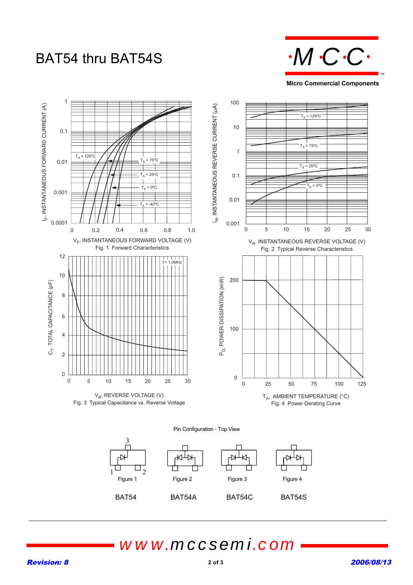# BAT54 thru BAT54S **M.C.C.**



**Micro Commercial Components**



## *www.mccsemi.com*

BAT54 BAT54A BAT54C BAT54S